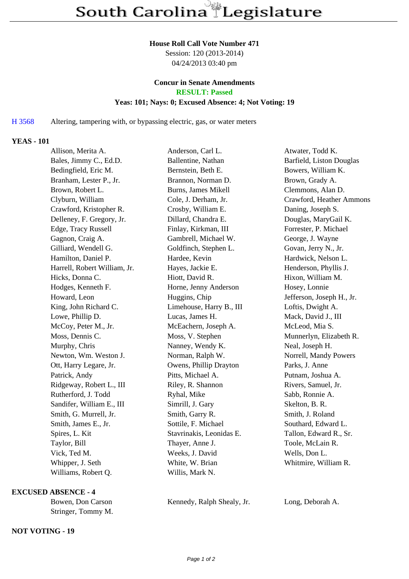#### **House Roll Call Vote Number 471**

Session: 120 (2013-2014) 04/24/2013 03:40 pm

# **Concur in Senate Amendments**

**RESULT: Passed**

# **Yeas: 101; Nays: 0; Excused Absence: 4; Not Voting: 19**

H 3568 Altering, tampering with, or bypassing electric, gas, or water meters

## **YEAS - 101**

| Allison, Merita A.           | Anderson, Carl L.          | Atwater, Todd K.          |
|------------------------------|----------------------------|---------------------------|
| Bales, Jimmy C., Ed.D.       | Ballentine, Nathan         | Barfield, Liston Douglas  |
| Bedingfield, Eric M.         | Bernstein, Beth E.         | Bowers, William K.        |
| Branham, Lester P., Jr.      | Brannon, Norman D.         | Brown, Grady A.           |
| Brown, Robert L.             | <b>Burns, James Mikell</b> | Clemmons, Alan D.         |
| Clyburn, William             | Cole, J. Derham, Jr.       | Crawford, Heather Ammons  |
| Crawford, Kristopher R.      | Crosby, William E.         | Daning, Joseph S.         |
| Delleney, F. Gregory, Jr.    | Dillard, Chandra E.        | Douglas, MaryGail K.      |
| Edge, Tracy Russell          | Finlay, Kirkman, III       | Forrester, P. Michael     |
| Gagnon, Craig A.             | Gambrell, Michael W.       | George, J. Wayne          |
| Gilliard, Wendell G.         | Goldfinch, Stephen L.      | Govan, Jerry N., Jr.      |
| Hamilton, Daniel P.          | Hardee, Kevin              | Hardwick, Nelson L.       |
| Harrell, Robert William, Jr. | Hayes, Jackie E.           | Henderson, Phyllis J.     |
| Hicks, Donna C.              | Hiott, David R.            | Hixon, William M.         |
| Hodges, Kenneth F.           | Horne, Jenny Anderson      | Hosey, Lonnie             |
| Howard, Leon                 | Huggins, Chip              | Jefferson, Joseph H., Jr. |
| King, John Richard C.        | Limehouse, Harry B., III   | Loftis, Dwight A.         |
| Lowe, Phillip D.             | Lucas, James H.            | Mack, David J., III       |
| McCoy, Peter M., Jr.         | McEachern, Joseph A.       | McLeod, Mia S.            |
| Moss, Dennis C.              | Moss, V. Stephen           | Munnerlyn, Elizabeth R.   |
| Murphy, Chris                | Nanney, Wendy K.           | Neal, Joseph H.           |
| Newton, Wm. Weston J.        | Norman, Ralph W.           | Norrell, Mandy Powers     |
| Ott, Harry Legare, Jr.       | Owens, Phillip Drayton     | Parks, J. Anne            |
| Patrick, Andy                | Pitts, Michael A.          | Putnam, Joshua A.         |
| Ridgeway, Robert L., III     | Riley, R. Shannon          | Rivers, Samuel, Jr.       |
| Rutherford, J. Todd          | Ryhal, Mike                | Sabb, Ronnie A.           |
| Sandifer, William E., III    | Simrill, J. Gary           | Skelton, B. R.            |
| Smith, G. Murrell, Jr.       | Smith, Garry R.            | Smith, J. Roland          |
| Smith, James E., Jr.         | Sottile, F. Michael        | Southard, Edward L.       |
| Spires, L. Kit               | Stavrinakis, Leonidas E.   | Tallon, Edward R., Sr.    |
| Taylor, Bill                 | Thayer, Anne J.            | Toole, McLain R.          |
| Vick, Ted M.                 | Weeks, J. David            | Wells, Don L.             |
| Whipper, J. Seth             | White, W. Brian            | Whitmire, William R.      |
| Williams, Robert Q.          | Willis, Mark N.            |                           |

#### **EXCUSED ABSENCE - 4**

Stringer, Tommy M.

## **NOT VOTING - 19**

Bowen, Don Carson Kennedy, Ralph Shealy, Jr. Long, Deborah A.